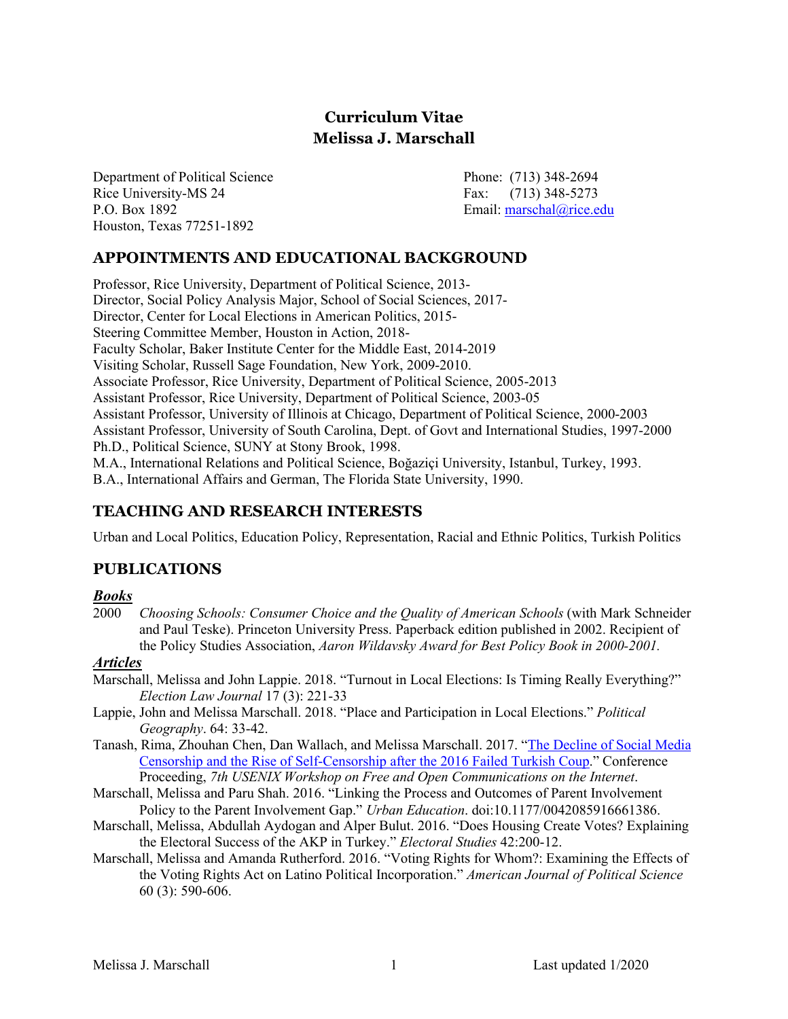# **Curriculum Vitae Melissa J. Marschall**

Department of Political Science Phone: (713) 348-2694 Rice University-MS 24 P.O. Box 1892 Houston, Texas 77251-1892

Fax:  $(713)$  348-5273 Email: [marschal@rice.edu](mailto:marschal@rice.edu)

# **APPOINTMENTS AND EDUCATIONAL BACKGROUND**

 Professor, Rice University, Department of Political Science, 2013- Director, Social Policy Analysis Major, School of Social Sciences, 2017- Director, Center for Local Elections in American Politics, 2015- Faculty Scholar, Baker Institute Center for the Middle East, 2014-2019 Visiting Scholar, Russell Sage Foundation, New York, 2009-2010. Associate Professor, Rice University, Department of Political Science, 2005-2013 Assistant Professor, Rice University, Department of Political Science, 2003-05 Assistant Professor, University of Illinois at Chicago, Department of Political Science, 2000-2003 Assistant Professor, University of South Carolina, Dept. of Govt and International Studies, 1997-2000 Ph.D., Political Science, SUNY at Stony Brook, 1998. M.A., International Relations and Political Science, Boğaziçi University, Istanbul, Turkey, 1993. B.A., International Affairs and German, The Florida State University, 1990. Steering Committee Member, Houston in Action, 2018-

### **TEACHING AND RESEARCH INTERESTS**

Urban and Local Politics, Education Policy, Representation, Racial and Ethnic Politics, Turkish Politics

# **PUBLICATIONS**

#### *Books*

2000 *Choosing Schools: Consumer Choice and the Quality of American Schools* (with Mark Schneider and Paul Teske). Princeton University Press. Paperback edition published in 2002. Recipient of  the Policy Studies Association, *Aaron Wildavsky Award for Best Policy Book in 2000-2001.* 

#### *Articles*

- Marschall, Melissa and John Lappie. 2018. "Turnout in Local Elections: Is Timing Really Everything?" *Election Law Journal* 17 (3): 221-33
- Lappie, John and Melissa Marschall. 2018. "Place and Participation in Local Elections." *Political Geography*. 64: 33-42.
- Tanash, Rima, Zhouhan Chen, Dan Wallach, and Melissa Marschall. 2017. "The Decline of Social Media Censorship and the Rise of Self-Censorship after the 2016 Failed Turkish Coup." Conference Proceeding, *7th USENIX Workshop on Free and Open Communications on the Internet*.
- Marschall, Melissa and Paru Shah. 2016. "Linking the Process and Outcomes of Parent Involvement Policy to the Parent Involvement Gap." *Urban Education*. doi:10.1177/0042085916661386.
- Marschall, Melissa, Abdullah Aydogan and Alper Bulut. 2016. "Does Housing Create Votes? Explaining the Electoral Success of the AKP in Turkey." *Electoral Studies* 42:200-12.
- Marschall, Melissa and Amanda Rutherford. 2016. "Voting Rights for Whom?: Examining the Effects of  the Voting Rights Act on Latino Political Incorporation." *American Journal of Political Science*  60 (3): 590-606.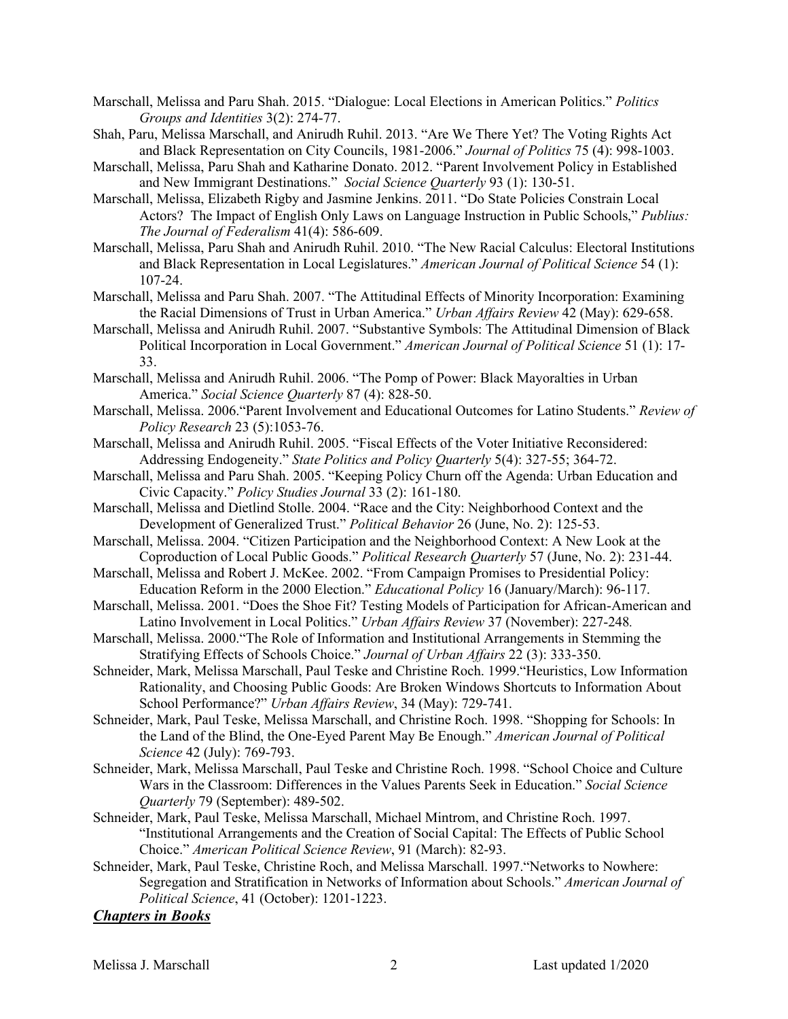- Marschall, Melissa and Paru Shah. 2015. "Dialogue: Local Elections in American Politics." *Politics Groups and Identities* 3(2): 274-77.
- Shah, Paru, Melissa Marschall, and Anirudh Ruhil. 2013. "Are We There Yet? The Voting Rights Act  and Black Representation on City Councils, 1981-2006." *Journal of Politics* 75 (4): 998-1003.
- Marschall, Melissa, Paru Shah and Katharine Donato. 2012. "Parent Involvement Policy in Established and New Immigrant Destinations." *Social Science Quarterly* 93 (1): 130-51.
- Marschall, Melissa, Elizabeth Rigby and Jasmine Jenkins. 2011. "Do State Policies Constrain Local Actors? The Impact of English Only Laws on Language Instruction in Public Schools," *Publius: The Journal of Federalism* 41(4): 586-609.
- Marschall, Melissa, Paru Shah and Anirudh Ruhil. 2010. "The New Racial Calculus: Electoral Institutions  and Black Representation in Local Legislatures." *American Journal of Political Science* 54 (1): 107-24.
- Marschall, Melissa and Paru Shah. 2007. "The Attitudinal Effects of Minority Incorporation: Examining  the Racial Dimensions of Trust in Urban America." *Urban Affairs Review* 42 (May): 629-658.
- Political Incorporation in Local Government." *American Journal of Political Science* 51 (1): 17- Marschall, Melissa and Anirudh Ruhil. 2007. "Substantive Symbols: The Attitudinal Dimension of Black 33.
- Marschall, Melissa and Anirudh Ruhil. 2006. "The Pomp of Power: Black Mayoralties in Urban America." *Social Science Quarterly* 87 (4): 828-50.
- Marschall, Melissa. 2006."Parent Involvement and Educational Outcomes for Latino Students." *Review of Policy Research* 23 (5):1053-76.
- Marschall, Melissa and Anirudh Ruhil. 2005. "Fiscal Effects of the Voter Initiative Reconsidered: Addressing Endogeneity." *State Politics and Policy Quarterly* 5(4): 327-55; 364-72.
- Marschall, Melissa and Paru Shah. 2005. "Keeping Policy Churn off the Agenda: Urban Education and  Civic Capacity." *Policy Studies Journal* 33 (2): 161-180.
- Marschall, Melissa and Dietlind Stolle. 2004. "Race and the City: Neighborhood Context and the Development of Generalized Trust." *Political Behavior* 26 (June, No. 2): 125-53.
- Marschall, Melissa. 2004. "Citizen Participation and the Neighborhood Context: A New Look at the Coproduction of Local Public Goods." *Political Research Quarterly* 57 (June, No. 2): 231-44.
- Marschall, Melissa and Robert J. McKee. 2002. "From Campaign Promises to Presidential Policy: Education Reform in the 2000 Election." *Educational Policy* 16 (January/March): 96-117.
- Marschall, Melissa. 2001. "Does the Shoe Fit? Testing Models of Participation for African-American and Latino Involvement in Local Politics." *Urban Affairs Review* 37 (November): 227-248*.*
- Marschall, Melissa. 2000."The Role of Information and Institutional Arrangements in Stemming the Stratifying Effects of Schools Choice." *Journal of Urban Affairs* 22 (3): 333-350.
- Schneider, Mark, Melissa Marschall, Paul Teske and Christine Roch. 1999."Heuristics, Low Information Rationality, and Choosing Public Goods: Are Broken Windows Shortcuts to Information About  School Performance?" *Urban Affairs Review*, 34 (May): 729-741.
- Schneider, Mark, Paul Teske, Melissa Marschall, and Christine Roch. 1998. "Shopping for Schools: In the Land of the Blind, the One-Eyed Parent May Be Enough." *American Journal of Political Science* 42 (July): 769-793.
- Schneider, Mark, Melissa Marschall, Paul Teske and Christine Roch. 1998. "School Choice and Culture Wars in the Classroom: Differences in the Values Parents Seek in Education." *Social Science Quarterly* 79 (September): 489-502.
- Schneider, Mark, Paul Teske, Melissa Marschall, Michael Mintrom, and Christine Roch. 1997.  Choice." *American Political Science Review*, 91 (March): 82-93. "Institutional Arrangements and the Creation of Social Capital: The Effects of Public School
- Schneider, Mark, Paul Teske, Christine Roch, and Melissa Marschall. 1997."Networks to Nowhere: Segregation and Stratification in Networks of Information about Schools." *American Journal of Political Science*, 41 (October): 1201-1223.

#### *Chapters in Books*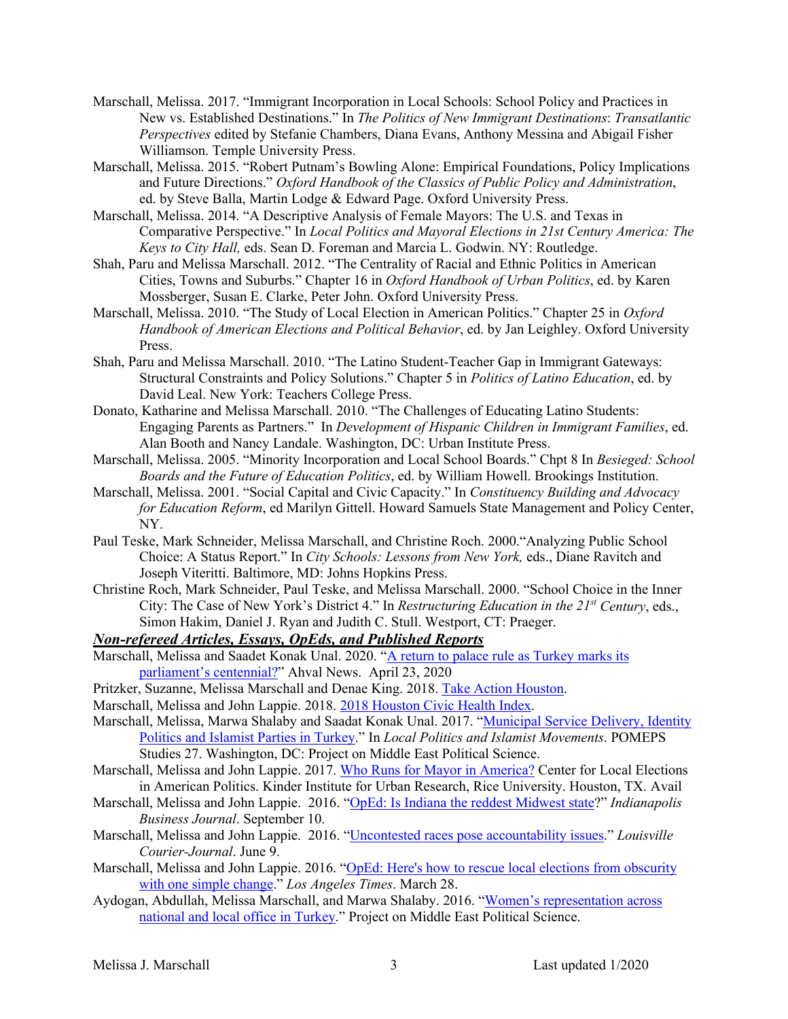- Marschall, Melissa. 2017. "Immigrant Incorporation in Local Schools: School Policy and Practices in New vs. Established Destinations." In *The Politics of New Immigrant Destinations*: *Transatlantic Perspectives* edited by Stefanie Chambers, Diana Evans, Anthony Messina and Abigail Fisher Williamson. Temple University Press.
- Marschall, Melissa. 2015. "Robert Putnam's Bowling Alone: Empirical Foundations, Policy Implications  and Future Directions." *Oxford Handbook of the Classics of Public Policy and Administration*, ed. by Steve Balla, Martin Lodge & Edward Page. Oxford University Press.
- Marschall, Melissa. 2014. "A Descriptive Analysis of Female Mayors: The U.S. and Texas in  Comparative Perspective." In *Local Politics and Mayoral Elections in 21st Century America: The Keys to City Hall,* eds. Sean D. Foreman and Marcia L. Godwin. NY: Routledge.
- Shah, Paru and Melissa Marschall. 2012. "The Centrality of Racial and Ethnic Politics in American Cities, Towns and Suburbs." Chapter 16 in *Oxford Handbook of Urban Politics*, ed. by Karen Mossberger, Susan E. Clarke, Peter John. Oxford University Press.
- *Handbook of American Elections and Political Behavior*, ed. by Jan Leighley. Oxford University Marschall, Melissa. 2010. "The Study of Local Election in American Politics." Chapter 25 in *Oxford*  Press.
- Shah, Paru and Melissa Marschall. 2010. "The Latino Student-Teacher Gap in Immigrant Gateways: Structural Constraints and Policy Solutions." Chapter 5 in *Politics of Latino Education*, ed. by David Leal. New York: Teachers College Press.
- Donato, Katharine and Melissa Marschall. 2010. "The Challenges of Educating Latino Students: Engaging Parents as Partners." In *Development of Hispanic Children in Immigrant Families*, ed. Alan Booth and Nancy Landale. Washington, DC: Urban Institute Press.
- Marschall, Melissa. 2005. "Minority Incorporation and Local School Boards." Chpt 8 In *Besieged: School Boards and the Future of Education Politics*, ed. by William Howell. Brookings Institution.
- Marschall, Melissa. 2001. "Social Capital and Civic Capacity." In *Constituency Building and Advocacy for Education Reform*, ed Marilyn Gittell. Howard Samuels State Management and Policy Center, NY.
- Paul Teske, Mark Schneider, Melissa Marschall, and Christine Roch. 2000."Analyzing Public School Choice: A Status Report." In *City Schools: Lessons from New York,* eds., Diane Ravitch and Joseph Viteritti. Baltimore, MD: Johns Hopkins Press.
- Christine Roch, Mark Schneider, Paul Teske, and Melissa Marschall. 2000. "School Choice in the Inner City: The Case of New York's District 4." In *Restructuring Education in the 21st Century*, eds., Simon Hakim, Daniel J. Ryan and Judith C. Stull. Westport, CT: Praeger.

#### *Non-refereed Articles, Essays, OpEds, and Published Reports*

- Marschall, Melissa and Saadet Konak Unal. 2020. "A return to palace rule as Turkey marks its parliament's centennial?" Ahval News. April 23, 2020
- Pritzker, Suzanne, Melissa Marschall and Denae King. 2018. Take Action Houston.
- Marschall, Melissa and John Lappie. 2018. 2018 Houston Civic Health Index.
- Marschall, Melissa, Marwa Shalaby and Saadat Konak Unal. 2017. "Municipal Service Delivery, Identity Politics and Islamist Parties in Turkey." In *Local Politics and Islamist Movements*. POMEPS Studies 27. Washington, DC: Project on Middle East Political Science.
- Marschall, Melissa and John Lappie. 2017. Who Runs for Mayor in America? Center for Local Elections in American Politics. Kinder Institute for Urban Research, Rice University. Houston, TX. Avail
- Marschall, Melissa and John Lappie. 2016. "OpEd: Is Indiana the reddest Midwest state?" *Indianapolis Business Journal*. September 10.
- Marschall, Melissa and John Lappie. 2016. "Uncontested races pose accountability issues." *Louisville Courier-Journal*. June 9.
- Marschall, Melissa and John Lappie. 2016. "OpEd: Here's how to rescue local elections from obscurity with one simple change." *Los Angeles Times*. March 28.
- Aydogan, Abdullah, Melissa Marschall, and Marwa Shalaby. 2016. "Women's representation across national and local office in Turkey." Project on Middle East Political Science.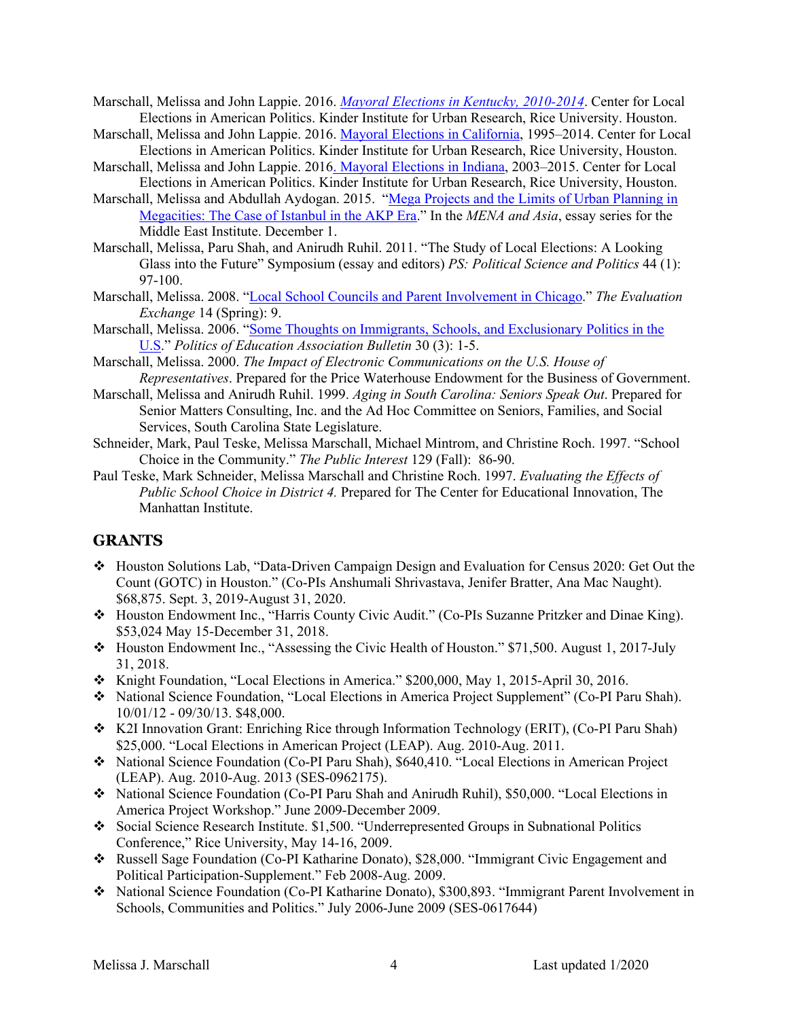- Marschall, Melissa and John Lappie. 2016. *Mayoral Elections in Kentucky, 2010-2014*. Center for Local Elections in American Politics. Kinder Institute for Urban Research, Rice University. Houston.
- Marschall, Melissa and John Lappie. 2016. Mayoral Elections in California, 1995–2014. Center for Local Elections in American Politics. Kinder Institute for Urban Research, Rice University, Houston.
- Marschall, Melissa and John Lappie. 2016. Mayoral Elections in Indiana, 2003-2015. Center for Local Elections in American Politics. Kinder Institute for Urban Research, Rice University, Houston.
- Marschall, Melissa and Abdullah Aydogan. 2015. "Mega Projects and the Limits of Urban Planning in Megacities: The Case of Istanbul in the AKP Era." In the *MENA and Asia*, essay series for the Middle East Institute. December 1.
- Marschall, Melissa, Paru Shah, and Anirudh Ruhil. 2011. "The Study of Local Elections: A Looking Glass into the Future" Symposium (essay and editors) *PS: Political Science and Politics* 44 (1): 97-100.
- Marschall, Melissa. 2008. "Local School Councils and Parent Involvement in Chicago." *The Evaluation Exchange* 14 (Spring): 9.
- Marschall, Melissa. 2006. "Some Thoughts on Immigrants, Schools, and Exclusionary Politics in the  U.S." *Politics of Education Association Bulletin* 30 (3): 1-5.
- Marschall, Melissa. 2000. *The Impact of Electronic Communications on the U.S. House of Representatives*. Prepared for the Price Waterhouse Endowment for the Business of Government.
- Marschall, Melissa and Anirudh Ruhil. 1999. *Aging in South Carolina: Seniors Speak Out*. Prepared for Senior Matters Consulting, Inc. and the Ad Hoc Committee on Seniors, Families, and Social Services, South Carolina State Legislature.
- Services, South Carolina State Legislature. Schneider, Mark, Paul Teske, Melissa Marschall, Michael Mintrom, and Christine Roch. 1997. "School Choice in the Community." *The Public Interest* 129 (Fall): 86-90.
- Paul Teske, Mark Schneider, Melissa Marschall and Christine Roch. 1997. *Evaluating the Effects of Public School Choice in District 4.* Prepared for The Center for Educational Innovation, The Manhattan Institute.

### **GRANTS**

- • Houston Solutions Lab, "Data-Driven Campaign Design and Evaluation for Census 2020: Get Out the Count (GOTC) in Houston." (Co-PIs Anshumali Shrivastava, Jenifer Bratter, Ana Mac Naught). \$68,875. Sept. 3, 2019-August 31, 2020.
- • Houston Endowment Inc., "Harris County Civic Audit." (Co-PIs Suzanne Pritzker and Dinae King). \$53,024 May 15-December 31, 2018.
- • Houston Endowment Inc., "Assessing the Civic Health of Houston." \$71,500. August 1, 2017-July 31, 2018.
- Knight Foundation, "Local Elections in America." \$200,000, May 1, 2015-April 30, 2016.
- • National Science Foundation, "Local Elections in America Project Supplement" (Co-PI Paru Shah). 10/01/12 - 09/30/13. \$48,000.
- • K2I Innovation Grant: Enriching Rice through Information Technology (ERIT), (Co-PI Paru Shah) \$25,000. "Local Elections in American Project (LEAP). Aug. 2010-Aug. 2011.
- • National Science Foundation (Co-PI Paru Shah), \$640,410. "Local Elections in American Project (LEAP). Aug. 2010-Aug. 2013 (SES-0962175).
- • National Science Foundation (Co-PI Paru Shah and Anirudh Ruhil), \$50,000. "Local Elections in America Project Workshop." June 2009-December 2009.
- • Social Science Research Institute. \$1,500. "Underrepresented Groups in Subnational Politics Conference," Rice University, May 14-16, 2009.
- • Russell Sage Foundation (Co-PI Katharine Donato), \$28,000. "Immigrant Civic Engagement and Political Participation-Supplement." Feb 2008-Aug. 2009.
- • National Science Foundation (Co-PI Katharine Donato), \$300,893. "Immigrant Parent Involvement in Schools, Communities and Politics." July 2006-June 2009 (SES-0617644)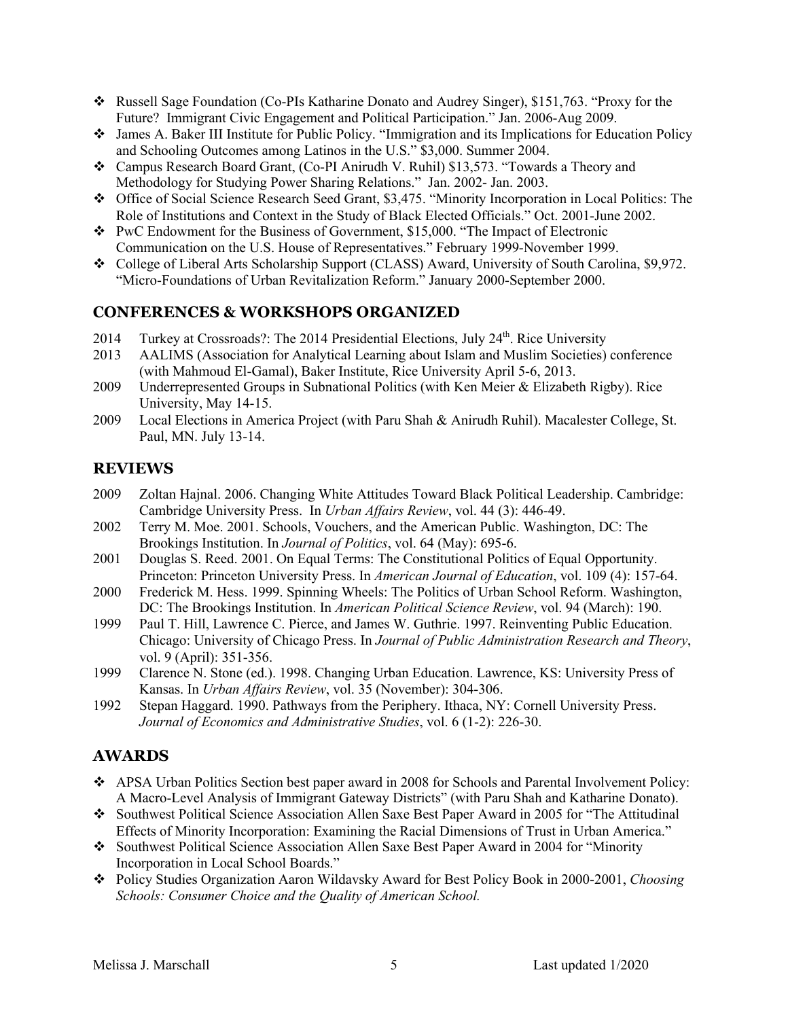- • Russell Sage Foundation (Co-PIs Katharine Donato and Audrey Singer), \$151,763. "Proxy for the Future? Immigrant Civic Engagement and Political Participation." Jan. 2006-Aug 2009.
- • James A. Baker III Institute for Public Policy. "Immigration and its Implications for Education Policy and Schooling Outcomes among Latinos in the U.S." \$3,000. Summer 2004.
- • Campus Research Board Grant, (Co-PI Anirudh V. Ruhil) \$13,573. "Towards a Theory and Methodology for Studying Power Sharing Relations." Jan. 2002- Jan. 2003.
- • Office of Social Science Research Seed Grant, \$3,475. "Minority Incorporation in Local Politics: The Role of Institutions and Context in the Study of Black Elected Officials." Oct. 2001-June 2002.
- • PwC Endowment for the Business of Government, \$15,000. "The Impact of Electronic Communication on the U.S. House of Representatives." February 1999-November 1999.
- • College of Liberal Arts Scholarship Support (CLASS) Award, University of South Carolina, \$9,972. "Micro-Foundations of Urban Revitalization Reform." January 2000-September 2000.

# **CONFERENCES & WORKSHOPS ORGANIZED**

- 2014 Turkey at Crossroads?: The 2014 Presidential Elections, July 24<sup>th</sup>. Rice University
- 2013 AALIMS (Association for Analytical Learning about Islam and Muslim Societies) conference (with Mahmoud El-Gamal), Baker Institute, Rice University April 5-6, 2013.
- 2009 Underrepresented Groups in Subnational Politics (with Ken Meier & Elizabeth Rigby). Rice University, May 14-15.
- 2009 Local Elections in America Project (with Paru Shah & Anirudh Ruhil). Macalester College, St. Paul, MN. July 13-14.

# **REVIEWS**

- 2009 Zoltan Hajnal. 2006. Changing White Attitudes Toward Black Political Leadership. Cambridge: Cambridge University Press. In *Urban Affairs Review*, vol. 44 (3): 446-49.
- 2002 Terry M. Moe. 2001. Schools, Vouchers, and the American Public. Washington, DC: The Brookings Institution. In *Journal of Politics*, vol. 64 (May): 695-6.
- 2001 Douglas S. Reed. 2001. On Equal Terms: The Constitutional Politics of Equal Opportunity.  Princeton: Princeton University Press. In *American Journal of Education*, vol. 109 (4): 157-64.
- 2000 Frederick M. Hess. 1999. Spinning Wheels: The Politics of Urban School Reform. Washington, DC: The Brookings Institution. In *American Political Science Review*, vol. 94 (March): 190.
- 1999 Paul T. Hill, Lawrence C. Pierce, and James W. Guthrie. 1997. Reinventing Public Education. Chicago: University of Chicago Press. In *Journal of Public Administration Research and Theory*, vol. 9 (April): 351-356.
- Kansas. In *Urban Affairs Review*, vol. 35 (November): 304-306. 1999 Clarence N. Stone (ed.). 1998. Changing Urban Education. Lawrence, KS: University Press of
- 1992 Stepan Haggard. 1990. Pathways from the Periphery. Ithaca, NY: Cornell University Press.  *Journal of Economics and Administrative Studies*, vol. 6 (1-2): 226-30.

### **AWARDS**

- • APSA Urban Politics Section best paper award in 2008 for Schools and Parental Involvement Policy: A Macro-Level Analysis of Immigrant Gateway Districts" (with Paru Shah and Katharine Donato).
- • Southwest Political Science Association Allen Saxe Best Paper Award in 2005 for "The Attitudinal Effects of Minority Incorporation: Examining the Racial Dimensions of Trust in Urban America."
- • Southwest Political Science Association Allen Saxe Best Paper Award in 2004 for "Minority Incorporation in Local School Boards."
- *Schools: Consumer Choice and the Quality of American School.*  • Policy Studies Organization Aaron Wildavsky Award for Best Policy Book in 2000-2001, *Choosing*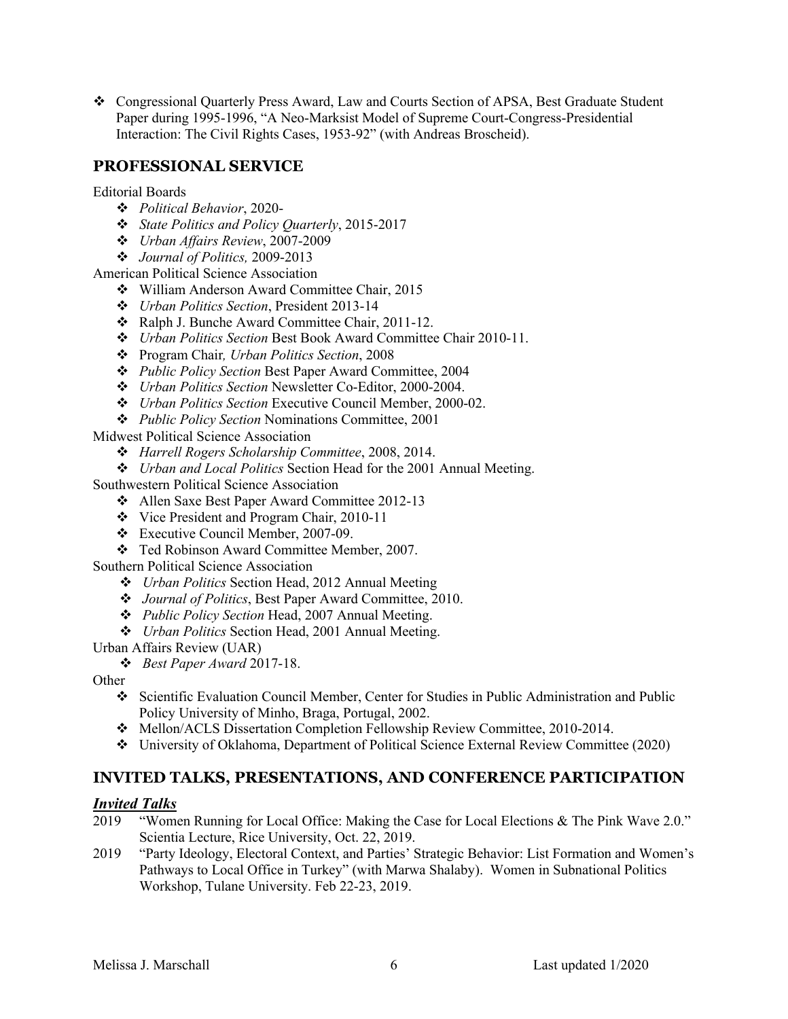• Congressional Quarterly Press Award, Law and Courts Section of APSA, Best Graduate Student Paper during 1995-1996, "A Neo-Marksist Model of Supreme Court-Congress-Presidential Interaction: The Civil Rights Cases, 1953-92" (with Andreas Broscheid).

# **PROFESSIONAL SERVICE**

#### Editorial Boards

- *Political Behavior*, 2020-
- *State Politics and Policy Quarterly*, 2015-2017
- *Urban Affairs Review*, 2007-2009
- *Journal of Politics,* 2009-2013

American Political Science Association

- William Anderson Award Committee Chair, 2015
- *Urban Politics Section*, President 2013-14
- Ralph J. Bunche Award Committee Chair, 2011-12.
- *Urban Politics Section* Best Book Award Committee Chair 2010-11.
- Program Chair*, Urban Politics Section*, 2008
- *Public Policy Section* Best Paper Award Committee, 2004
- *Urban Politics Section* Newsletter Co-Editor, 2000-2004.
- *Urban Politics Section* Executive Council Member, 2000-02.
- *Public Policy Section* Nominations Committee, 2001

Midwest Political Science Association

- *Harrell Rogers Scholarship Committee*, 2008, 2014.
- *Urban and Local Politics* Section Head for the 2001 Annual Meeting.

Southwestern Political Science Association

- Allen Saxe Best Paper Award Committee 2012-13
- Vice President and Program Chair, 2010-11
- Executive Council Member, 2007-09.
- Ted Robinson Award Committee Member, 2007.

Southern Political Science Association

- *Urban Politics* Section Head, 2012 Annual Meeting
- *Journal of Politics*, Best Paper Award Committee, 2010.
- *Public Policy Section* Head, 2007 Annual Meeting.
- *Urban Politics* Section Head, 2001 Annual Meeting.

Urban Affairs Review (UAR)

 • *Best Paper Award* 2017-18.

**Other** 

- • Scientific Evaluation Council Member, Center for Studies in Public Administration and Public Policy University of Minho, Braga, Portugal, 2002.
- Mellon/ACLS Dissertation Completion Fellowship Review Committee, 2010-2014.
- University of Oklahoma, Department of Political Science External Review Committee (2020)

### **INVITED TALKS, PRESENTATIONS, AND CONFERENCE PARTICIPATION**

#### *Invited Talks*

- 2019 "Women Running for Local Office: Making the Case for Local Elections & The Pink Wave 2.0." Scientia Lecture, Rice University, Oct. 22, 2019.
- 2019 "Party Ideology, Electoral Context, and Parties' Strategic Behavior: List Formation and Women's Pathways to Local Office in Turkey" (with Marwa Shalaby). Women in Subnational Politics Workshop, Tulane University. Feb 22-23, 2019.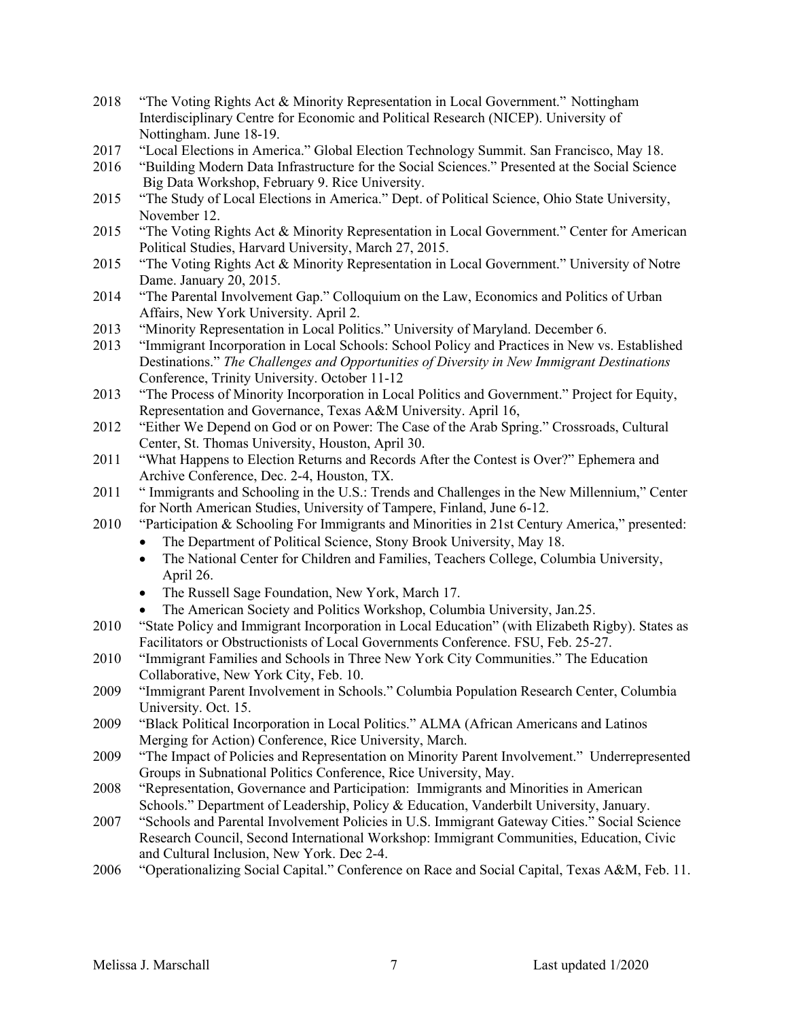- 2018 "The Voting Rights Act & Minority Representation in Local Government." Nottingham Interdisciplinary Centre for Economic and Political Research (NICEP). University of Nottingham. June 18-19.
- 2017 "Local Elections in America." Global Election Technology Summit. San Francisco, May 18.
- 2016 "Building Modern Data Infrastructure for the Social Sciences." Presented at the Social Science Big Data Workshop, February 9. Rice University.
- 2015 "The Study of Local Elections in America." Dept. of Political Science, Ohio State University, November 12.
- 2015 "The Voting Rights Act & Minority Representation in Local Government." Center for American Political Studies, Harvard University, March 27, 2015.
- 2015 "The Voting Rights Act & Minority Representation in Local Government." University of Notre Dame. January 20, 2015.
- 2014 "The Parental Involvement Gap." Colloquium on the Law, Economics and Politics of Urban Affairs, New York University. April 2.
- 2013 "Minority Representation in Local Politics." University of Maryland. December 6.
- Destinations." *The Challenges and Opportunities of Diversity in New Immigrant Destinations*  Conference, Trinity University. October 11-12 2013 "Immigrant Incorporation in Local Schools: School Policy and Practices in New vs. Established
- 2013 "The Process of Minority Incorporation in Local Politics and Government." Project for Equity, Representation and Governance, Texas A&M University. April 16,
- Center, St. Thomas University, Houston, April 30. 2012 "Either We Depend on God or on Power: The Case of the Arab Spring." Crossroads, Cultural
- 2011 "What Happens to Election Returns and Records After the Contest is Over?" Ephemera and Archive Conference, Dec. 2-4, Houston, TX.
- 2011 " Immigrants and Schooling in the U.S.: Trends and Challenges in the New Millennium," Center for North American Studies, University of Tampere, Finland, June 6-12.
- 2010 "Participation & Schooling For Immigrants and Minorities in 21st Century America," presented:
	- • The Department of Political Science, Stony Brook University, May 18.
		- • The National Center for Children and Families, Teachers College, Columbia University, April 26.
		- The Russell Sage Foundation, New York, March 17.
	- The American Society and Politics Workshop, Columbia University, Jan.25.
- 2010 "State Policy and Immigrant Incorporation in Local Education" (with Elizabeth Rigby). States as Facilitators or Obstructionists of Local Governments Conference. FSU, Feb. 25-27.
- 2010 "Immigrant Families and Schools in Three New York City Communities." The Education Collaborative, New York City, Feb. 10.
- 2009 "Immigrant Parent Involvement in Schools." Columbia Population Research Center, Columbia University. Oct. 15.
- Merging for Action) Conference, Rice University, March. 2009 "Black Political Incorporation in Local Politics." ALMA (African Americans and Latinos
- 2009 "The Impact of Policies and Representation on Minority Parent Involvement." Underrepresented Groups in Subnational Politics Conference, Rice University, May.
- 2008 "Representation, Governance and Participation: Immigrants and Minorities in American Schools." Department of Leadership, Policy & Education, Vanderbilt University, January.
- 2007 "Schools and Parental Involvement Policies in U.S. Immigrant Gateway Cities." Social Science Research Council, Second International Workshop: Immigrant Communities, Education, Civic and Cultural Inclusion, New York. Dec 2-4.
- 2006 "Operationalizing Social Capital." Conference on Race and Social Capital, Texas A&M, Feb. 11.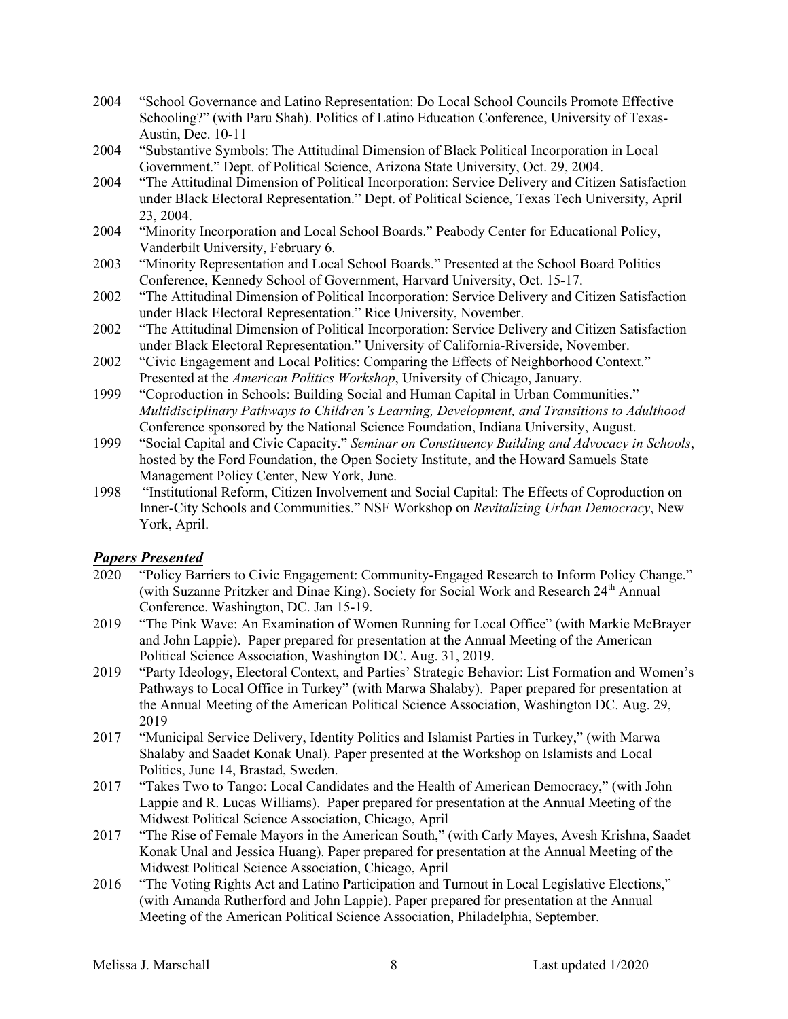- 2004 "School Governance and Latino Representation: Do Local School Councils Promote Effective Schooling?" (with Paru Shah). Politics of Latino Education Conference, University of Texas-Austin, Dec. 10-11
- Government." Dept. of Political Science, Arizona State University, Oct. 29, 2004. 2004 "Substantive Symbols: The Attitudinal Dimension of Black Political Incorporation in Local
- 2004 "The Attitudinal Dimension of Political Incorporation: Service Delivery and Citizen Satisfaction under Black Electoral Representation." Dept. of Political Science, Texas Tech University, April 23, 2004.
- 2004 "Minority Incorporation and Local School Boards." Peabody Center for Educational Policy, Vanderbilt University, February 6.
- 2003 "Minority Representation and Local School Boards." Presented at the School Board Politics Conference, Kennedy School of Government, Harvard University, Oct. 15-17.
- 2002 "The Attitudinal Dimension of Political Incorporation: Service Delivery and Citizen Satisfaction under Black Electoral Representation." Rice University, November.
- 2002 2002 "The Attitudinal Dimension of Political Incorporation: Service Delivery and Citizen Satisfaction under Black Electoral Representation." University of California-Riverside, November.
- 2002 "Civic Engagement and Local Politics: Comparing the Effects of Neighborhood Context."  Presented at the *American Politics Workshop*, University of Chicago, January.
- 1999 "Coproduction in Schools: Building Social and Human Capital in Urban Communities."  *Multidisciplinary Pathways to Children's Learning, Development, and Transitions to Adulthood*  Conference sponsored by the National Science Foundation, Indiana University, August.
- 1999 "Social Capital and Civic Capacity." *Seminar on Constituency Building and Advocacy in Schools*, Management Policy Center, New York, June. hosted by the Ford Foundation, the Open Society Institute, and the Howard Samuels State
- 1998 Inner-City Schools and Communities." NSF Workshop on *Revitalizing Urban Democracy*, New 1998 "Institutional Reform, Citizen Involvement and Social Capital: The Effects of Coproduction on York, April.

#### *Papers Presented*

- 2020 "Policy Barriers to Civic Engagement: Community-Engaged Research to Inform Policy Change." Conference. Washington, DC. Jan 15-19. (with Suzanne Pritzker and Dinae King). Society for Social Work and Research 24<sup>th</sup> Annual
- 2019 "The Pink Wave: An Examination of Women Running for Local Office" (with Markie McBrayer and John Lappie). Paper prepared for presentation at the Annual Meeting of the American Political Science Association, Washington DC. Aug. 31, 2019.
- 2019 "Party Ideology, Electoral Context, and Parties' Strategic Behavior: List Formation and Women's Pathways to Local Office in Turkey" (with Marwa Shalaby). Paper prepared for presentation at the Annual Meeting of the American Political Science Association, Washington DC. Aug. 29, 2019
- 2017 "Municipal Service Delivery, Identity Politics and Islamist Parties in Turkey," (with Marwa Shalaby and Saadet Konak Unal). Paper presented at the Workshop on Islamists and Local Politics, June 14, Brastad, Sweden.
- 2017 "Takes Two to Tango: Local Candidates and the Health of American Democracy," (with John Lappie and R. Lucas Williams). Paper prepared for presentation at the Annual Meeting of the Midwest Political Science Association, Chicago, April
- 2017 "The Rise of Female Mayors in the American South," (with Carly Mayes, Avesh Krishna, Saadet Konak Unal and Jessica Huang). Paper prepared for presentation at the Annual Meeting of the Midwest Political Science Association, Chicago, April
- 2016 "The Voting Rights Act and Latino Participation and Turnout in Local Legislative Elections," Meeting of the American Political Science Association, Philadelphia, September. (with Amanda Rutherford and John Lappie). Paper prepared for presentation at the Annual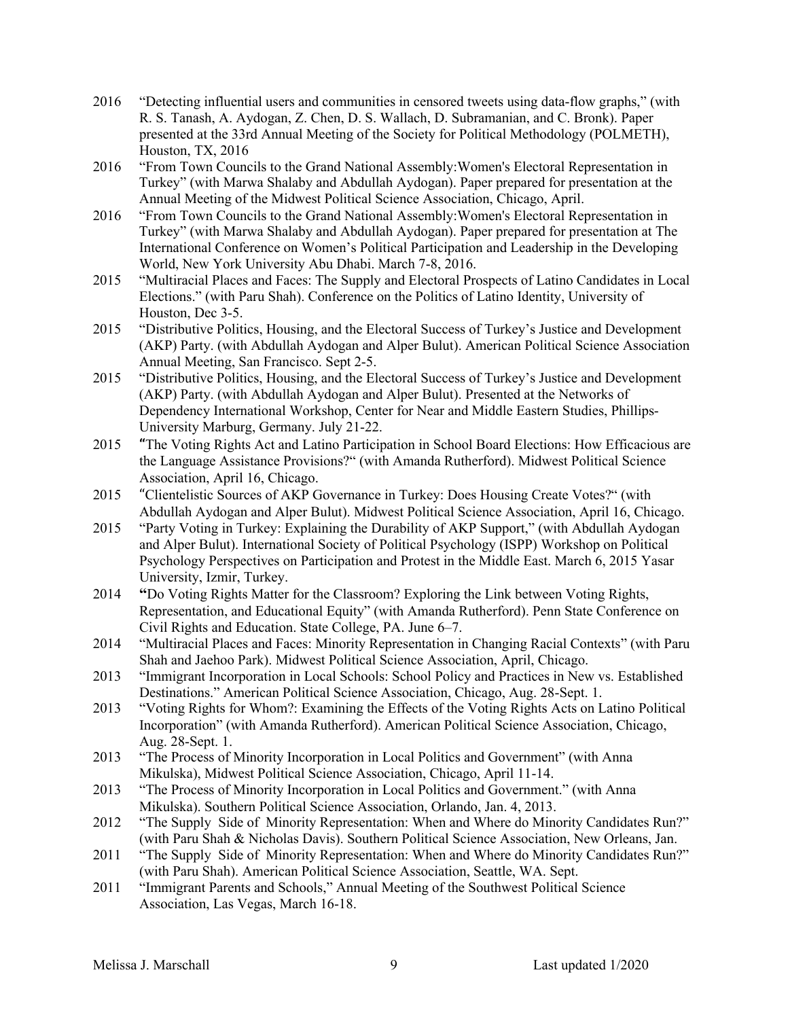- 2016 "Detecting influential users and communities in censored tweets using data-flow graphs," (with R. S. Tanash, A. Aydogan, Z. Chen, D. S. Wallach, D. Subramanian, and C. Bronk). Paper presented at the 33rd Annual Meeting of the Society for Political Methodology (POLMETH), Houston, TX, 2016
- 2016 "From Town Councils to the Grand National Assembly:Women's Electoral Representation in Turkey" (with Marwa Shalaby and Abdullah Aydogan). Paper prepared for presentation at the Annual Meeting of the Midwest Political Science Association, Chicago, April.
- 2016 "From Town Councils to the Grand National Assembly:Women's Electoral Representation in Turkey" (with Marwa Shalaby and Abdullah Aydogan). Paper prepared for presentation at The World, New York University Abu Dhabi. March 7-8, 2016. International Conference on Women's Political Participation and Leadership in the Developing
- 2015 "Multiracial Places and Faces: The Supply and Electoral Prospects of Latino Candidates in Local Houston, Dec 3-5. Elections." (with Paru Shah). Conference on the Politics of Latino Identity, University of
- 2015 "Distributive Politics, Housing, and the Electoral Success of Turkey's Justice and Development Annual Meeting, San Francisco. Sept 2-5. (AKP) Party. (with Abdullah Aydogan and Alper Bulut). American Political Science Association
- 2015 "Distributive Politics, Housing, and the Electoral Success of Turkey's Justice and Development (AKP) Party. (with Abdullah Aydogan and Alper Bulut). Presented at the Networks of Dependency International Workshop, Center for Near and Middle Eastern Studies, Phillips-University Marburg, Germany. July 21-22.
- 2015 "The Voting Rights Act and Latino Participation in School Board Elections: How Efficacious are the Language Assistance Provisions?" (with Amanda Rutherford). Midwest Political Science Association, April 16, Chicago.
- 2015 "Clientelistic Sources of AKP Governance in Turkey: Does Housing Create Votes?" (with Abdullah Aydogan and Alper Bulut). Midwest Political Science Association, April 16, Chicago.
- 2015 "Party Voting in Turkey: Explaining the Durability of AKP Support," (with Abdullah Aydogan and Alper Bulut). International Society of Political Psychology (ISPP) Workshop on Political Psychology Perspectives on Participation and Protest in the Middle East. March 6, 2015 Yasar University, Izmir, Turkey.
- Representation, and Educational Equity" (with Amanda Rutherford). Penn State Conference on Civil Rights and Education. State College, PA. June 6–7. 2014 **"**Do Voting Rights Matter for the Classroom? Exploring the Link between Voting Rights,
- 2014 "Multiracial Places and Faces: Minority Representation in Changing Racial Contexts" (with Paru Shah and Jaehoo Park). Midwest Political Science Association, April, Chicago.
- 2013 "Immigrant Incorporation in Local Schools: School Policy and Practices in New vs. Established Destinations." American Political Science Association, Chicago, Aug. 28-Sept. 1.
- 2013 "Voting Rights for Whom?: Examining the Effects of the Voting Rights Acts on Latino Political Incorporation" (with Amanda Rutherford). American Political Science Association, Chicago, Aug. 28-Sept. 1.
- 2013 "The Process of Minority Incorporation in Local Politics and Government" (with Anna Mikulska), Midwest Political Science Association, Chicago, April 11-14.
- 2013 "The Process of Minority Incorporation in Local Politics and Government." (with Anna Mikulska). Southern Political Science Association, Orlando, Jan. 4, 2013.
- 2012 "The Supply Side of Minority Representation: When and Where do Minority Candidates Run?" (with Paru Shah & Nicholas Davis). Southern Political Science Association, New Orleans, Jan.
- 2011 "The Supply Side of Minority Representation: When and Where do Minority Candidates Run?" (with Paru Shah). American Political Science Association, Seattle, WA. Sept.
- 2011 "Immigrant Parents and Schools," Annual Meeting of the Southwest Political Science Association, Las Vegas, March 16-18.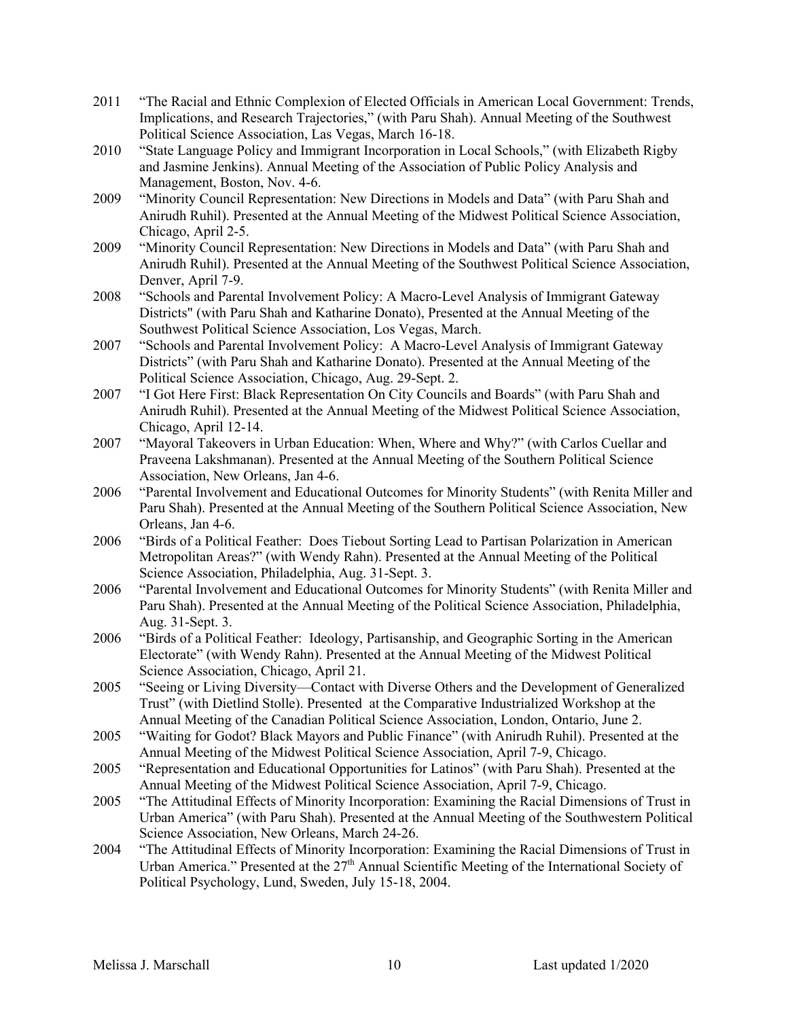- Political Science Association, Las Vegas, March 16-18. 2011 "The Racial and Ethnic Complexion of Elected Officials in American Local Government: Trends, Implications, and Research Trajectories," (with Paru Shah). Annual Meeting of the Southwest
- and Jasmine Jenkins). Annual Meeting of the Association of Public Policy Analysis and Management, Boston, Nov. 4-6. 2010 "State Language Policy and Immigrant Incorporation in Local Schools," (with Elizabeth Rigby
- Anirudh Ruhil). Presented at the Annual Meeting of the Midwest Political Science Association, Chicago, April 2-5. 2009 "Minority Council Representation: New Directions in Models and Data" (with Paru Shah and
- 2009 "Minority Council Representation: New Directions in Models and Data" (with Paru Shah and Anirudh Ruhil). Presented at the Annual Meeting of the Southwest Political Science Association, Denver, April 7-9.
- 2008 "Schools and Parental Involvement Policy: A Macro-Level Analysis of Immigrant Gateway Districts" (with Paru Shah and Katharine Donato), Presented at the Annual Meeting of the Southwest Political Science Association, Los Vegas, March.
- 2007 "Schools and Parental Involvement Policy: A Macro-Level Analysis of Immigrant Gateway Districts" (with Paru Shah and Katharine Donato). Presented at the Annual Meeting of the Political Science Association, Chicago, Aug. 29-Sept. 2.
- 2007 "I Got Here First: Black Representation On City Councils and Boards" (with Paru Shah and Anirudh Ruhil). Presented at the Annual Meeting of the Midwest Political Science Association, Chicago, April 12-14.
- 2007 "Mayoral Takeovers in Urban Education: When, Where and Why?" (with Carlos Cuellar and Praveena Lakshmanan). Presented at the Annual Meeting of the Southern Political Science Association, New Orleans, Jan 4-6.
- 2006 "Parental Involvement and Educational Outcomes for Minority Students" (with Renita Miller and Paru Shah). Presented at the Annual Meeting of the Southern Political Science Association, New Orleans, Jan 4-6.
- 2006 "Birds of a Political Feather: Does Tiebout Sorting Lead to Partisan Polarization in American Metropolitan Areas?" (with Wendy Rahn). Presented at the Annual Meeting of the Political Science Association, Philadelphia, Aug. 31-Sept. 3.
- Paru Shah). Presented at the Annual Meeting of the Political Science Association, Philadelphia, 2006 "Parental Involvement and Educational Outcomes for Minority Students" (with Renita Miller and Aug. 31-Sept. 3.
- 2006 "Birds of a Political Feather: Ideology, Partisanship, and Geographic Sorting in the American Electorate" (with Wendy Rahn). Presented at the Annual Meeting of the Midwest Political Science Association, Chicago, April 21.
- 2005 "Seeing or Living Diversity—Contact with Diverse Others and the Development of Generalized Trust" (with Dietlind Stolle). Presented at the Comparative Industrialized Workshop at the Annual Meeting of the Canadian Political Science Association, London, Ontario, June 2.
- 2005 "Waiting for Godot? Black Mayors and Public Finance" (with Anirudh Ruhil). Presented at the Annual Meeting of the Midwest Political Science Association, April 7-9, Chicago.
- 2005 "Representation and Educational Opportunities for Latinos" (with Paru Shah). Presented at the Annual Meeting of the Midwest Political Science Association, April 7-9, Chicago.
- 2005 "The Attitudinal Effects of Minority Incorporation: Examining the Racial Dimensions of Trust in Urban America" (with Paru Shah). Presented at the Annual Meeting of the Southwestern Political Science Association, New Orleans, March 24-26.
- Urban America." Presented at the  $27<sup>th</sup>$  Annual Scientific Meeting of the International Society of Political Psychology, Lund, Sweden, July 15-18, 2004. 2004 "The Attitudinal Effects of Minority Incorporation: Examining the Racial Dimensions of Trust in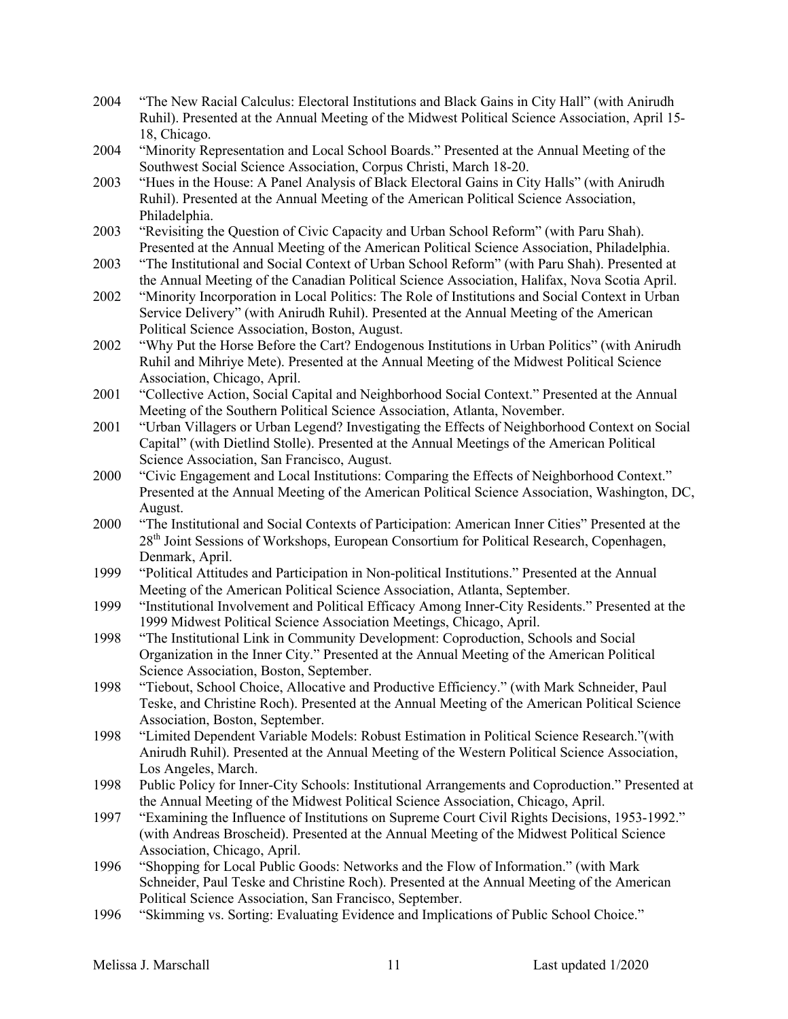- 2004 "The New Racial Calculus: Electoral Institutions and Black Gains in City Hall" (with Anirudh Ruhil). Presented at the Annual Meeting of the Midwest Political Science Association, April 15- 18, Chicago.
- 2004 "Minority Representation and Local School Boards." Presented at the Annual Meeting of the Southwest Social Science Association, Corpus Christi, March 18-20.
- 2003 "Hues in the House: A Panel Analysis of Black Electoral Gains in City Halls" (with Anirudh Ruhil). Presented at the Annual Meeting of the American Political Science Association, Philadelphia.
- 2003 "Revisiting the Question of Civic Capacity and Urban School Reform" (with Paru Shah). Presented at the Annual Meeting of the American Political Science Association, Philadelphia.
- 2003 "The Institutional and Social Context of Urban School Reform" (with Paru Shah). Presented at the Annual Meeting of the Canadian Political Science Association, Halifax, Nova Scotia April.
- 2002 "Minority Incorporation in Local Politics: The Role of Institutions and Social Context in Urban Service Delivery" (with Anirudh Ruhil). Presented at the Annual Meeting of the American Political Science Association, Boston, August.
- 2002 "Why Put the Horse Before the Cart? Endogenous Institutions in Urban Politics" (with Anirudh Ruhil and Mihriye Mete). Presented at the Annual Meeting of the Midwest Political Science Association, Chicago, April.
- 2001 "Collective Action, Social Capital and Neighborhood Social Context." Presented at the Annual Meeting of the Southern Political Science Association, Atlanta, November.
- 2001 "Urban Villagers or Urban Legend? Investigating the Effects of Neighborhood Context on Social Capital" (with Dietlind Stolle). Presented at the Annual Meetings of the American Political Science Association, San Francisco, August.
- 2000 "Civic Engagement and Local Institutions: Comparing the Effects of Neighborhood Context." Presented at the Annual Meeting of the American Political Science Association, Washington, DC, August.
- 2000 "The Institutional and Social Contexts of Participation: American Inner Cities" Presented at the 28th Joint Sessions of Workshops, European Consortium for Political Research, Copenhagen, Denmark, April.
- 1999 "Political Attitudes and Participation in Non-political Institutions." Presented at the Annual Meeting of the American Political Science Association, Atlanta, September.
- 1999 "Institutional Involvement and Political Efficacy Among Inner-City Residents." Presented at the 1999 Midwest Political Science Association Meetings, Chicago, April.
- 1998 "The Institutional Link in Community Development: Coproduction, Schools and Social Organization in the Inner City." Presented at the Annual Meeting of the American Political Science Association, Boston, September.
- 1998 "Tiebout, School Choice, Allocative and Productive Efficiency." (with Mark Schneider, Paul Teske, and Christine Roch). Presented at the Annual Meeting of the American Political Science Association, Boston, September.
- 1998 "Limited Dependent Variable Models: Robust Estimation in Political Science Research."(with Anirudh Ruhil). Presented at the Annual Meeting of the Western Political Science Association, Los Angeles, March.
- 1998 Public Policy for Inner-City Schools: Institutional Arrangements and Coproduction." Presented at the Annual Meeting of the Midwest Political Science Association, Chicago, April.
- 1997 "Examining the Influence of Institutions on Supreme Court Civil Rights Decisions, 1953-1992." Association, Chicago, April. (with Andreas Broscheid). Presented at the Annual Meeting of the Midwest Political Science
- 1996 "Shopping for Local Public Goods: Networks and the Flow of Information." (with Mark Schneider, Paul Teske and Christine Roch). Presented at the Annual Meeting of the American Political Science Association, San Francisco, September.
- 1996 "Skimming vs. Sorting: Evaluating Evidence and Implications of Public School Choice."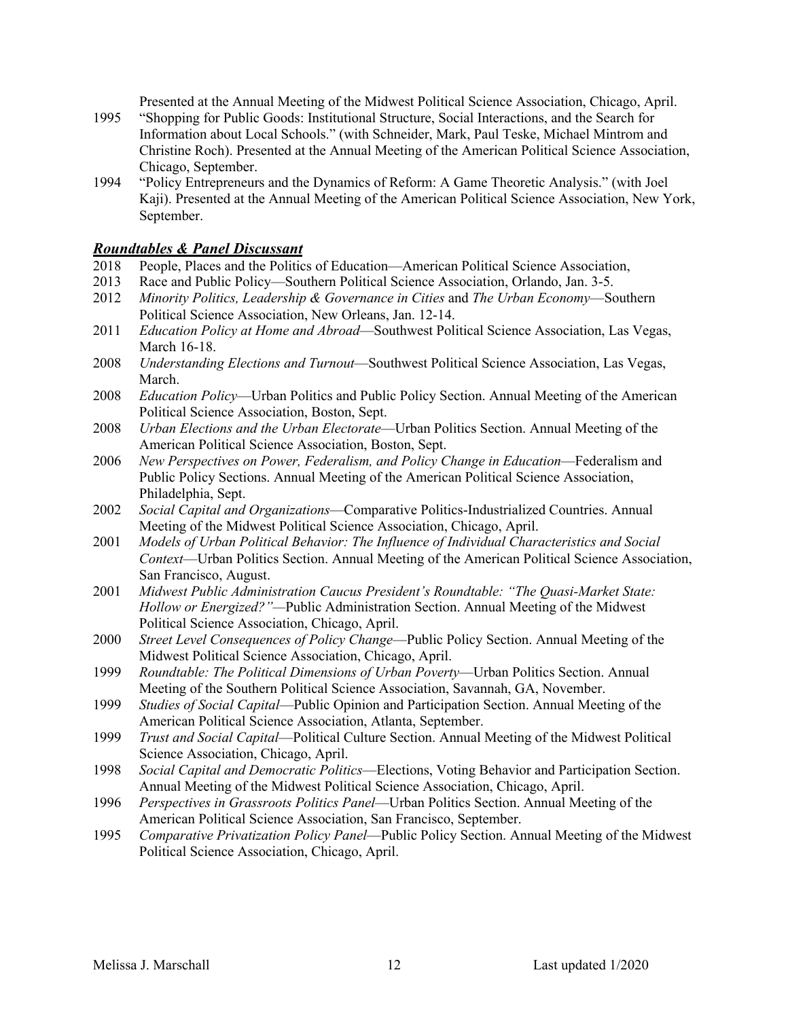Presented at the Annual Meeting of the Midwest Political Science Association, Chicago, April.

- 1995 "Shopping for Public Goods: Institutional Structure, Social Interactions, and the Search for Christine Roch). Presented at the Annual Meeting of the American Political Science Association, Chicago, September. Information about Local Schools." (with Schneider, Mark, Paul Teske, Michael Mintrom and
- 1994 "Policy Entrepreneurs and the Dynamics of Reform: A Game Theoretic Analysis." (with Joel Kaji). Presented at the Annual Meeting of the American Political Science Association, New York, September.

#### *Roundtables & Panel Discussant*

- 2018 People, Places and the Politics of Education—American Political Science Association,
- 2013 Race and Public Policy—Southern Political Science Association, Orlando, Jan. 3-5.
- 2012 *Minority Politics, Leadership & Governance in Cities* and *The Urban Economy*—Southern Political Science Association, New Orleans, Jan. 12-14.
- 2011 *Education Policy at Home and Abroad*—Southwest Political Science Association, Las Vegas, March 16-18.
- 2008 *Understanding Elections and Turnout*—Southwest Political Science Association, Las Vegas, March.
- 2008 *Education Policy*—Urban Politics and Public Policy Section. Annual Meeting of the American Political Science Association, Boston, Sept.
- 2008 *Urban Elections and the Urban Electorate*—Urban Politics Section. Annual Meeting of the American Political Science Association, Boston, Sept.
- 2006 *New Perspectives on Power, Federalism, and Policy Change in Education*—Federalism and Public Policy Sections. Annual Meeting of the American Political Science Association, Philadelphia, Sept.
- 2002 *Social Capital and Organizations*—Comparative Politics-Industrialized Countries. Annual Meeting of the Midwest Political Science Association, Chicago, April.
- 2001 *Models of Urban Political Behavior: The Influence of Individual Characteristics and Social Context*—Urban Politics Section. Annual Meeting of the American Political Science Association, San Francisco, August.
- 2001 *Midwest Public Administration Caucus President's Roundtable: "The Quasi-Market State: Hollow or Energized?"—*Public Administration Section. Annual Meeting of the Midwest Political Science Association, Chicago, April.
- 2000 *Street Level Consequences of Policy Change*—Public Policy Section. Annual Meeting of the Midwest Political Science Association, Chicago, April.
- 1999 Roundtable: The Political Dimensions of Urban Poverty—Urban Politics Section. Annual Meeting of the Southern Political Science Association, Savannah, GA, November.
- 1999 *Studies of Social Capital*—Public Opinion and Participation Section. Annual Meeting of the American Political Science Association, Atlanta, September.
- 1999 *Trust and Social Capital*—Political Culture Section. Annual Meeting of the Midwest Political Science Association, Chicago, April.
- 1998 *Social Capital and Democratic Politics*—Elections, Voting Behavior and Participation Section. Annual Meeting of the Midwest Political Science Association, Chicago, April.
- 1996 *Perspectives in Grassroots Politics Panel*—Urban Politics Section. Annual Meeting of the American Political Science Association, San Francisco, September.
- 1995 *Comparative Privatization Policy Panel*—Public Policy Section. Annual Meeting of the Midwest Political Science Association, Chicago, April.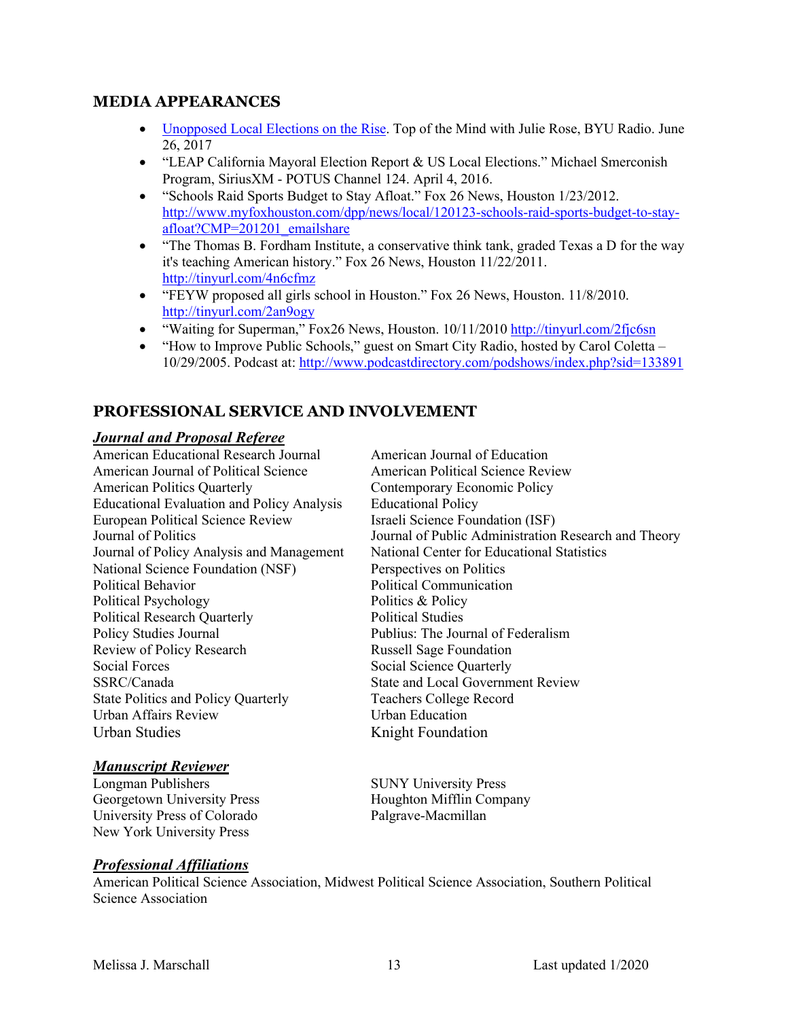### **MEDIA APPEARANCES**

- Unopposed Local Elections on the Rise. Top of the Mind with Julie Rose, BYU Radio. June 26, 2017
- • "LEAP California Mayoral Election Report & US Local Elections." Michael Smerconish Program, SiriusXM - POTUS Channel 124. April 4, 2016.
- • "Schools Raid Sports Budget to Stay Afloat." Fox 26 News, Houston 1/23/2012. afloat?CMP=201201\_emailshare [http://www.myfoxhouston.com/dpp/news/local/120123-schools-raid-sports-budget-to-stay-](http://www.myfoxhouston.com/dpp/news/local/120123-schools-raid-sports-budget-to-stay)
- • "The Thomas B. Fordham Institute, a conservative think tank, graded Texas a D for the way <http://tinyurl.com/4n6cfmz> it's teaching American history." Fox 26 News, Houston 11/22/2011.
- • "FEYW proposed all girls school in Houston." Fox 26 News, Houston. 11/8/2010. <http://tinyurl.com/2an9ogy>
- "Waiting for Superman," Fox26 News, Houston. 10/11/2010 http://tinyurl.com/2fjc6sn
- • "How to Improve Public Schools," guest on Smart City Radio, hosted by Carol Coletta 10/29/2005. Podcast at: <http://www.podcastdirectory.com/podshows/index.php?sid=133891>

### **PROFESSIONAL SERVICE AND INVOLVEMENT**

#### *Journal and Proposal Referee*

 American Educational Research Journal American Journal of Political Science American Politics Quarterly Educational Evaluation and Policy Analysis European Political Science Review National Science Foundation (NSF) Political Behavior Political Psychology Policy Studies Journal Review of Policy Research Social Forces SSRC/Canada **Urban Affairs Review**  Urban Studies Journal of Politics Journal of Policy Analysis and Management Political Behavior<br>Political Psychology<br>Political Research Quarterly<br>Policy Studies Journal<br>Review of Policy Research Social Forces<br>SSRC/Canada<br>State Politics and Policy Quarterly<br>Urban Affairs Review

#### *Manuscript Reviewer*

Longman Publishers Longman Publishers Georgetown University Press University Press of Colorado New York University Press

 National Center for Educational Statistics American Journal of Education American Political Science Review Contemporary Economic Policy Educational Policy Israeli Science Foundation (ISF) Journal of Public Administration Research and Theory Perspectives on Politics Political Communication Politics & Policy Political Studies Publius: The Journal of Federalism Russell Sage Foundation Social Science Quarterly State and Local Government Review Teachers College Record Urban Education Knight Foundation

SUNY University Press Houghton Mifflin Company Palgrave-Macmillan

#### *Professional Affiliations*

 American Political Science Association, Midwest Political Science Association, Southern Political Science Association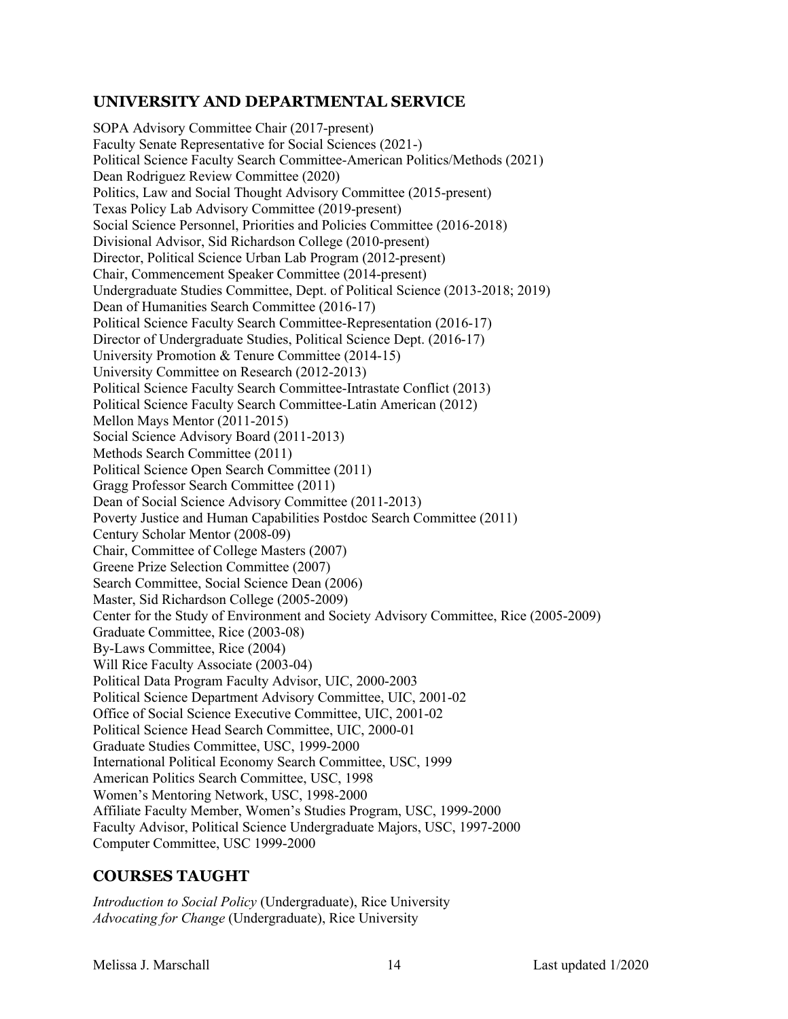# **UNIVERSITY AND DEPARTMENTAL SERVICE**

 Dean Rodriguez Review Committee (2020) Politics, Law and Social Thought Advisory Committee (2015-present) Texas Policy Lab Advisory Committee (2019-present) Social Science Personnel, Priorities and Policies Committee (2016-2018) Divisional Advisor, Sid Richardson College (2010-present) Director, Political Science Urban Lab Program (2012-present) Chair, Commencement Speaker Committee (2014-present) Undergraduate Studies Committee, Dept. of Political Science (2013-2018; 2019) Dean of Humanities Search Committee (2016-17) Director of Undergraduate Studies, Political Science Dept. (2016-17) University Promotion & Tenure Committee (2014-15) Political Science Faculty Search Committee-Latin American (2012) Mellon Mays Mentor (2011-2015) Methods Search Committee (2011) Political Science Open Search Committee (2011) Gragg Professor Search Committee (2011) Dean of Social Science Advisory Committee (2011-2013) Chair, Committee of College Masters (2007) Greene Prize Selection Committee (2007) Search Committee, Social Science Dean (2006) Master, Sid Richardson College (2005-2009) Center for the Study of Environment and Society Advisory Committee, Rice (2005-2009) Graduate Committee, Rice (2003-08) By-Laws Committee, Rice (2004) Will Rice Faculty Associate (2003-04) Political Data Program Faculty Advisor, UIC, 2000-2003 Political Science Department Advisory Committee, UIC, 2001-02 Office of Social Science Executive Committee, UIC, 2001-02 Political Science Head Search Committee, UIC, 2000-01 Graduate Studies Committee, USC, 1999-2000 American Politics Search Committee, USC, 1998 Women's Mentoring Network, USC, 1998-2000 Affiliate Faculty Member, Women's Studies Program, USC, 1999-2000 Faculty Advisor, Political Science Undergraduate Majors, USC, 1997-2000 Computer Committee, USC 1999-2000 SOPA Advisory Committee Chair (2017-present) Faculty Senate Representative for Social Sciences (2021-) Political Science Faculty Search Committee-American Politics/Methods (2021) Political Science Faculty Search Committee-Representation (2016-17) University Committee on Research (2012-2013) Political Science Faculty Search Committee-Intrastate Conflict (2013) Social Science Advisory Board (2011-2013) Poverty Justice and Human Capabilities Postdoc Search Committee (2011) Century Scholar Mentor (2008-09) International Political Economy Search Committee, USC, 1999

### **COURSES TAUGHT**

 *Advocating for Change* (Undergraduate), Rice University *Introduction to Social Policy* (Undergraduate), Rice University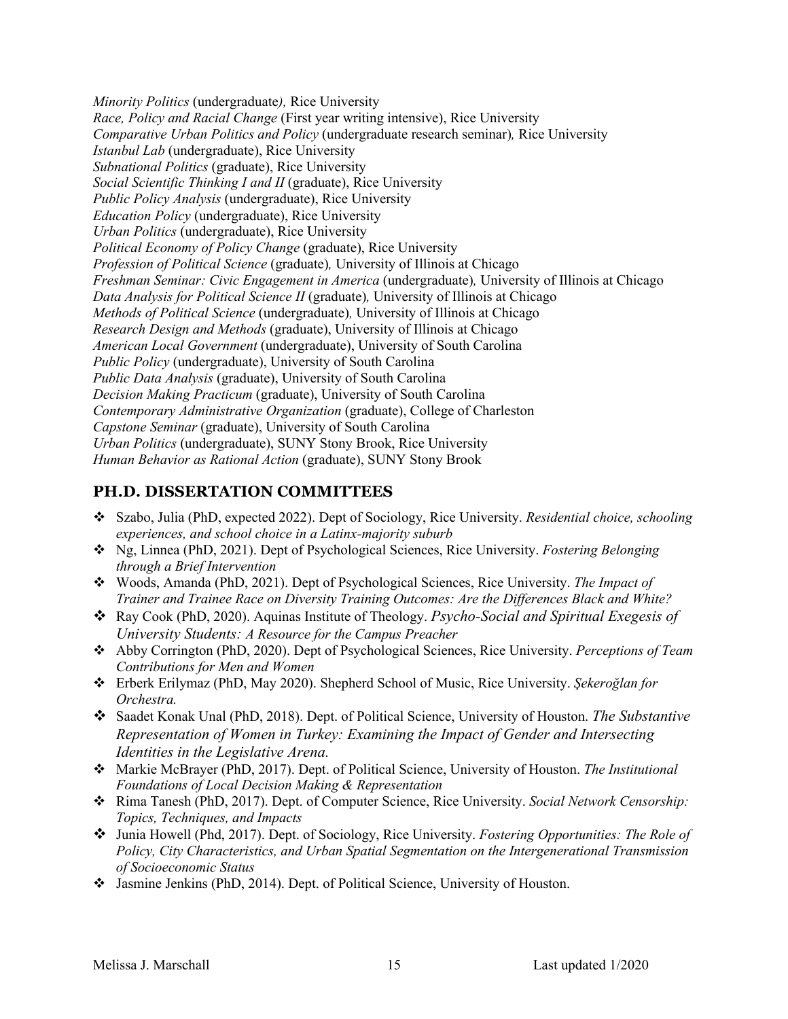*Minority Politics* (undergraduate*),* Rice University *Race, Policy and Racial Change* (First year writing intensive), Rice University  *Comparative Urban Politics and Policy* (undergraduate research seminar)*,* Rice University  *Subnational Politics* (graduate), Rice University  *Social Scientific Thinking I and II* (graduate), Rice University  *Public Policy Analysis* (undergraduate), Rice University  *Education Policy* (undergraduate), Rice University  *Urban Politics* (undergraduate), Rice University  *Political Economy of Policy Change* (graduate), Rice University  *Profession of Political Science* (graduate)*,* University of Illinois at Chicago  *Freshman Seminar: Civic Engagement in America* (undergraduate)*,* University of Illinois at Chicago  *Data Analysis for Political Science II* (graduate)*,* University of Illinois at Chicago  *Methods of Political Science* (undergraduate)*,* University of Illinois at Chicago  *Research Design and Methods* (graduate), University of Illinois at Chicago  *American Local Government* (undergraduate), University of South Carolina  *Public Policy* (undergraduate), University of South Carolina  *Public Data Analysis* (graduate), University of South Carolina  *Decision Making Practicum* (graduate), University of South Carolina  *Capstone Seminar* (graduate), University of South Carolina  *Urban Politics* (undergraduate), SUNY Stony Brook, Rice University  *Human Behavior as Rational Action* (graduate), SUNY Stony Brook *Istanbul Lab* (undergraduate), Rice University *Contemporary Administrative Organization* (graduate), College of Charleston

# **PH.D. DISSERTATION COMMITTEES**

- • Szabo, Julia (PhD, expected 2022). Dept of Sociology, Rice University. *Residential choice, schooling experiences, and school choice in a Latinx-majority suburb*
- • Ng, Linnea (PhD, 2021). Dept of Psychological Sciences, Rice University. *Fostering Belonging through a Brief Intervention*
- • Woods, Amanda (PhD, 2021). Dept of Psychological Sciences, Rice University. *The Impact of Trainer and Trainee Race on Diversity Training Outcomes: Are the Differences Black and White?*
- • Ray Cook (PhD, 2020). Aquinas Institute of Theology. *Psycho-Social and Spiritual Exegesis of University Students: A Resource for the Campus Preacher*
- • Abby Corrington (PhD, 2020). Dept of Psychological Sciences, Rice University. *Perceptions of Team Contributions for Men and Women*
- • Erberk Erilymaz (PhD, May 2020). Shepherd School of Music, Rice University. *Şekeroğlan for Orchestra.*
- • Saadet Konak Unal (PhD, 2018). Dept. of Political Science, University of Houston. *The Substantive Representation of Women in Turkey: Examining the Impact of Gender and Intersecting Identities in the Legislative Arena.*
- • Markie McBrayer (PhD, 2017). Dept. of Political Science, University of Houston. *The Institutional Foundations of Local Decision Making & Representation*
- • Rima Tanesh (PhD, 2017). Dept. of Computer Science, Rice University. *Social Network Censorship: Topics, Techniques, and Impacts*
- Junia Howell (Phd, 2017). Dept. of Sociology, Rice University. *Fostering Opportunities: The Role of Policy, City Characteristics, and Urban Spatial Segmentation on the Intergenerational Transmission of Socioeconomic Status*
- Jasmine Jenkins (PhD, 2014). Dept. of Political Science, University of Houston.